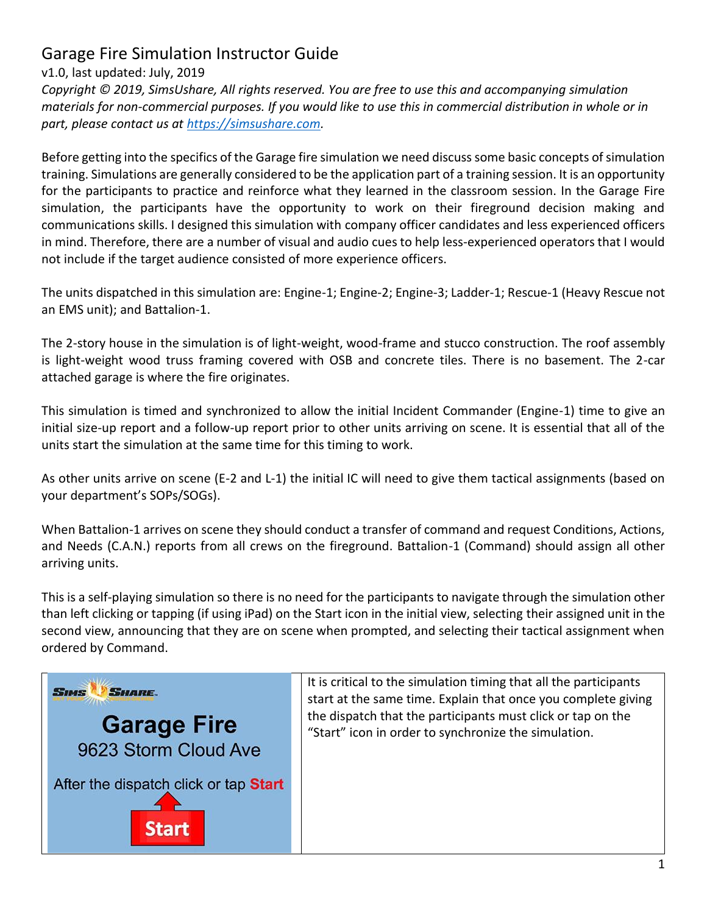## Garage Fire Simulation Instructor Guide

## v1.0, last updated: July, 2019

*Copyright © 2019, SimsUshare, All rights reserved. You are free to use this and accompanying simulation materials for non-commercial purposes. If you would like to use this in commercial distribution in whole or in part, please contact us at [https://simsushare.com.](https://simsushare.com/)* 

Before getting into the specifics of the Garage fire simulation we need discuss some basic concepts of simulation training. Simulations are generally considered to be the application part of a training session. It is an opportunity for the participants to practice and reinforce what they learned in the classroom session. In the Garage Fire simulation, the participants have the opportunity to work on their fireground decision making and communications skills. I designed this simulation with company officer candidates and less experienced officers in mind. Therefore, there are a number of visual and audio cues to help less-experienced operators that I would not include if the target audience consisted of more experience officers.

The units dispatched in this simulation are: Engine-1; Engine-2; Engine-3; Ladder-1; Rescue-1 (Heavy Rescue not an EMS unit); and Battalion-1.

The 2-story house in the simulation is of light-weight, wood-frame and stucco construction. The roof assembly is light-weight wood truss framing covered with OSB and concrete tiles. There is no basement. The 2-car attached garage is where the fire originates.

This simulation is timed and synchronized to allow the initial Incident Commander (Engine-1) time to give an initial size-up report and a follow-up report prior to other units arriving on scene. It is essential that all of the units start the simulation at the same time for this timing to work.

As other units arrive on scene (E-2 and L-1) the initial IC will need to give them tactical assignments (based on your department's SOPs/SOGs).

When Battalion-1 arrives on scene they should conduct a transfer of command and request Conditions, Actions, and Needs (C.A.N.) reports from all crews on the fireground. Battalion-1 (Command) should assign all other arriving units.

This is a self-playing simulation so there is no need for the participants to navigate through the simulation other than left clicking or tapping (if using iPad) on the Start icon in the initial view, selecting their assigned unit in the second view, announcing that they are on scene when prompted, and selecting their tactical assignment when ordered by Command.

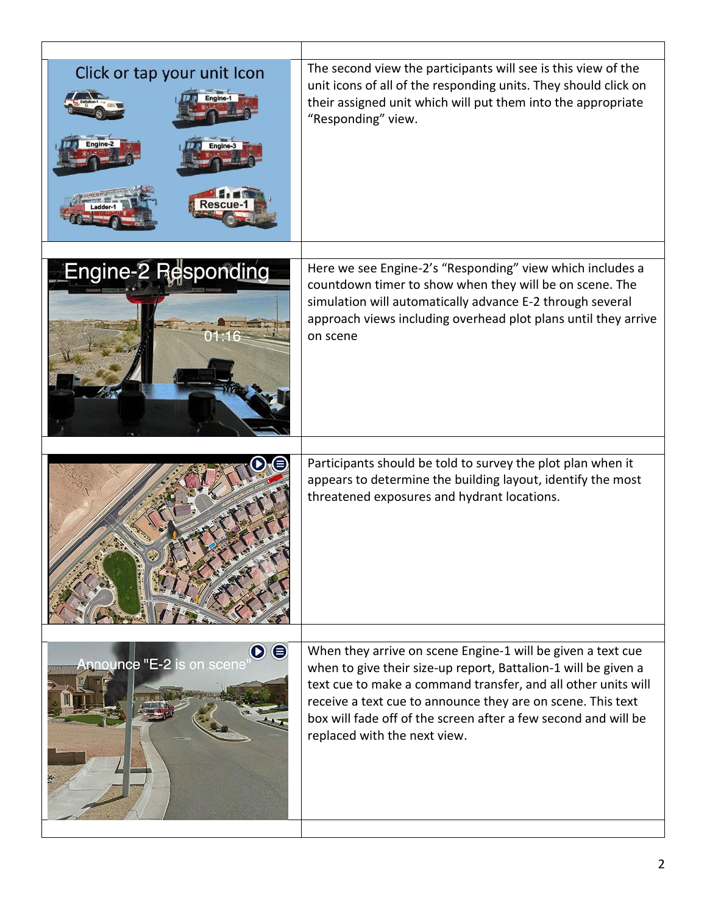| The second view the participants will see is this view of the<br>unit icons of all of the responding units. They should click on<br>their assigned unit which will put them into the appropriate<br>"Responding" view.                                                                                                                                          |
|-----------------------------------------------------------------------------------------------------------------------------------------------------------------------------------------------------------------------------------------------------------------------------------------------------------------------------------------------------------------|
| Here we see Engine-2's "Responding" view which includes a<br>countdown timer to show when they will be on scene. The<br>simulation will automatically advance E-2 through several<br>approach views including overhead plot plans until they arrive<br>on scene                                                                                                 |
| Participants should be told to survey the plot plan when it<br>appears to determine the building layout, identify the most<br>threatened exposures and hydrant locations.                                                                                                                                                                                       |
| When they arrive on scene Engine-1 will be given a text cue<br>when to give their size-up report, Battalion-1 will be given a<br>text cue to make a command transfer, and all other units will<br>receive a text cue to announce they are on scene. This text<br>box will fade off of the screen after a few second and will be<br>replaced with the next view. |
|                                                                                                                                                                                                                                                                                                                                                                 |